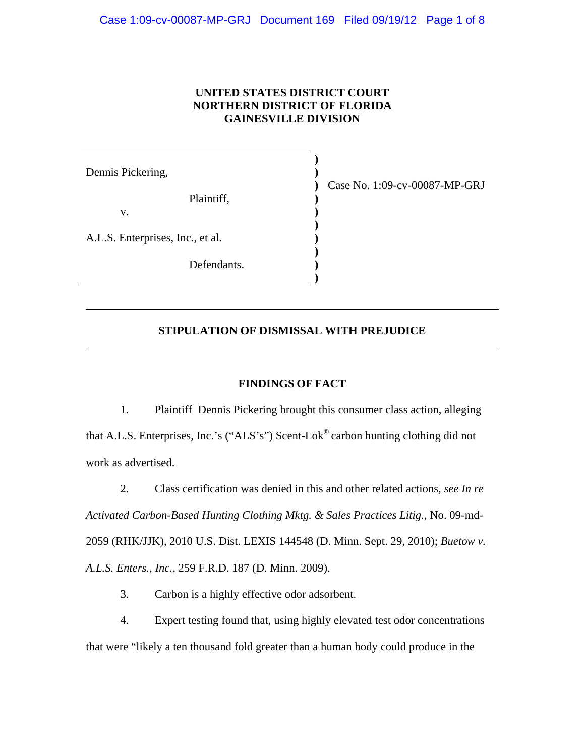## **UNITED STATES DISTRICT COURT NORTHERN DISTRICT OF FLORIDA GAINESVILLE DIVISION**

**) ) ) ) ) ) ) ) ) )**

Dennis Pickering, Plaintiff, v. A.L.S. Enterprises, Inc., et al. Defendants.

 $\overline{a}$ 

 $\overline{a}$ 

Case No. 1:09-cv-00087-MP-GRJ

## **STIPULATION OF DISMISSAL WITH PREJUDICE**

### **FINDINGS OF FACT**

1. Plaintiff Dennis Pickering brought this consumer class action, alleging that A.L.S. Enterprises, Inc.'s ("ALS's") Scent-Lok® carbon hunting clothing did not work as advertised.

2. Class certification was denied in this and other related actions, *see In re Activated Carbon-Based Hunting Clothing Mktg. & Sales Practices Litig.*, No. 09-md-2059 (RHK/JJK), 2010 U.S. Dist. LEXIS 144548 (D. Minn. Sept. 29, 2010); *Buetow v. A.L.S. Enters., Inc.*, 259 F.R.D. 187 (D. Minn. 2009).

3. Carbon is a highly effective odor adsorbent.

4. Expert testing found that, using highly elevated test odor concentrations that were "likely a ten thousand fold greater than a human body could produce in the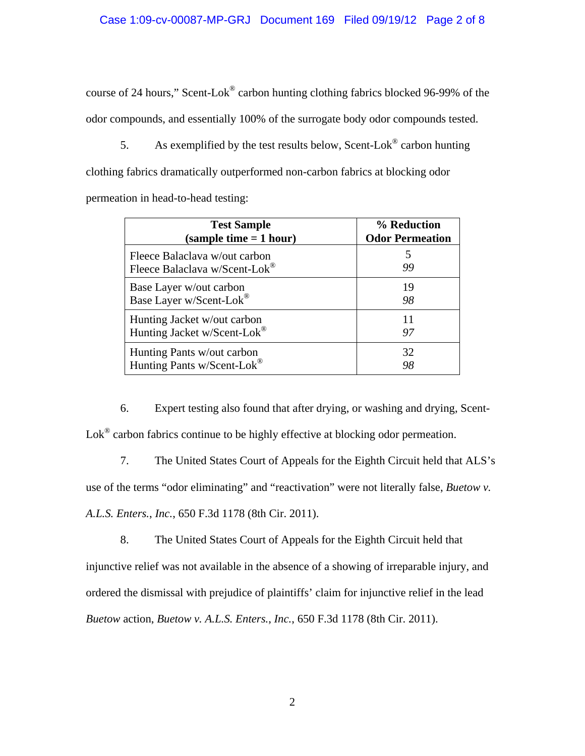course of 24 hours," Scent-Lok® carbon hunting clothing fabrics blocked 96-99% of the odor compounds, and essentially 100% of the surrogate body odor compounds tested.

5. As exemplified by the test results below, Scent-Lok<sup>®</sup> carbon hunting clothing fabrics dramatically outperformed non-carbon fabrics at blocking odor permeation in head-to-head testing:

| <b>Test Sample</b>                                             | % Reduction            |
|----------------------------------------------------------------|------------------------|
| (sample time $= 1$ hour)                                       | <b>Odor Permeation</b> |
| Fleece Balaclava w/out carbon<br>Fleece Balaclava w/Scent-Lok® | 99                     |
| Base Layer w/out carbon                                        | 19                     |
| Base Layer w/Scent-Lok®                                        | 98                     |
| Hunting Jacket w/out carbon                                    | 11                     |
| Hunting Jacket w/Scent-Lok®                                    | 97                     |
| Hunting Pants w/out carbon                                     | 32                     |
| Hunting Pants w/Scent-Lok®                                     | 98                     |

6. Expert testing also found that after drying, or washing and drying, Scent-Lok<sup>®</sup> carbon fabrics continue to be highly effective at blocking odor permeation.

7. The United States Court of Appeals for the Eighth Circuit held that ALS's use of the terms "odor eliminating" and "reactivation" were not literally false, *Buetow v. A.L.S. Enters.*, *Inc.*, 650 F.3d 1178 (8th Cir. 2011).

8. The United States Court of Appeals for the Eighth Circuit held that injunctive relief was not available in the absence of a showing of irreparable injury, and ordered the dismissal with prejudice of plaintiffs' claim for injunctive relief in the lead *Buetow* action, *Buetow v. A.L.S. Enters.*, *Inc.*, 650 F.3d 1178 (8th Cir. 2011).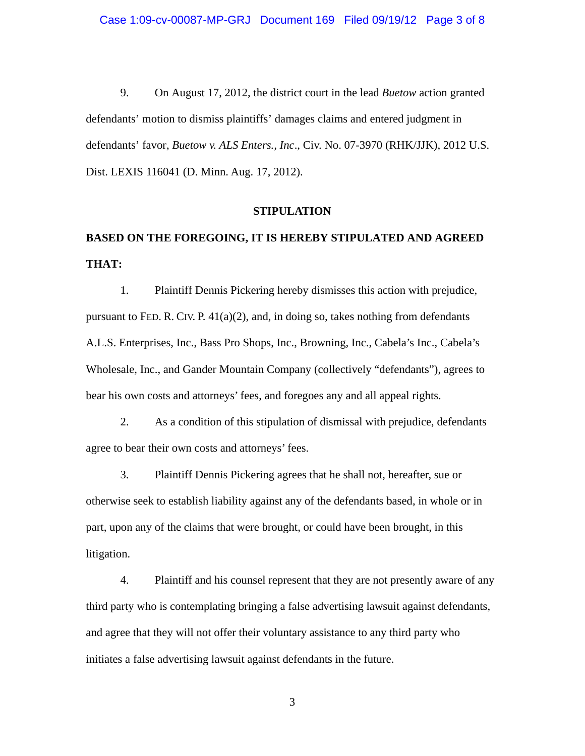9. On August 17, 2012, the district court in the lead *Buetow* action granted defendants' motion to dismiss plaintiffs' damages claims and entered judgment in defendants' favor, *Buetow v. ALS Enters., Inc*., Civ. No. 07-3970 (RHK/JJK), 2012 U.S. Dist. LEXIS 116041 (D. Minn. Aug. 17, 2012).

#### **STIPULATION**

# **BASED ON THE FOREGOING, IT IS HEREBY STIPULATED AND AGREED THAT:**

1. Plaintiff Dennis Pickering hereby dismisses this action with prejudice, pursuant to FED. R. CIV. P.  $41(a)(2)$ , and, in doing so, takes nothing from defendants A.L.S. Enterprises, Inc., Bass Pro Shops, Inc., Browning, Inc., Cabela's Inc., Cabela's Wholesale, Inc., and Gander Mountain Company (collectively "defendants"), agrees to bear his own costs and attorneys' fees, and foregoes any and all appeal rights.

2. As a condition of this stipulation of dismissal with prejudice, defendants agree to bear their own costs and attorneys' fees.

3. Plaintiff Dennis Pickering agrees that he shall not, hereafter, sue or otherwise seek to establish liability against any of the defendants based, in whole or in part, upon any of the claims that were brought, or could have been brought, in this litigation.

4. Plaintiff and his counsel represent that they are not presently aware of any third party who is contemplating bringing a false advertising lawsuit against defendants, and agree that they will not offer their voluntary assistance to any third party who initiates a false advertising lawsuit against defendants in the future.

3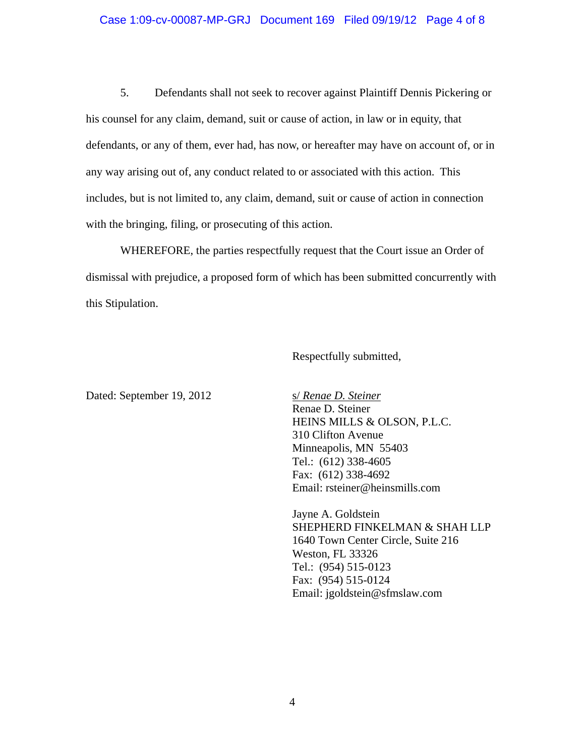#### Case 1:09-cv-00087-MP-GRJ Document 169 Filed 09/19/12 Page 4 of 8

5. Defendants shall not seek to recover against Plaintiff Dennis Pickering or his counsel for any claim, demand, suit or cause of action, in law or in equity, that defendants, or any of them, ever had, has now, or hereafter may have on account of, or in any way arising out of, any conduct related to or associated with this action. This includes, but is not limited to, any claim, demand, suit or cause of action in connection with the bringing, filing, or prosecuting of this action.

WHEREFORE, the parties respectfully request that the Court issue an Order of dismissal with prejudice, a proposed form of which has been submitted concurrently with this Stipulation.

Respectfully submitted,

Dated: September 19, 2012 s/ *Renae D. Steiner*

Renae D. Steiner HEINS MILLS & OLSON, P.L.C. 310 Clifton Avenue Minneapolis, MN 55403 Tel.: (612) 338-4605 Fax: (612) 338-4692 Email: rsteiner@heinsmills.com

Jayne A. Goldstein SHEPHERD FINKELMAN & SHAH LLP 1640 Town Center Circle, Suite 216 Weston, FL 33326 Tel.: (954) 515-0123 Fax: (954) 515-0124 Email: jgoldstein@sfmslaw.com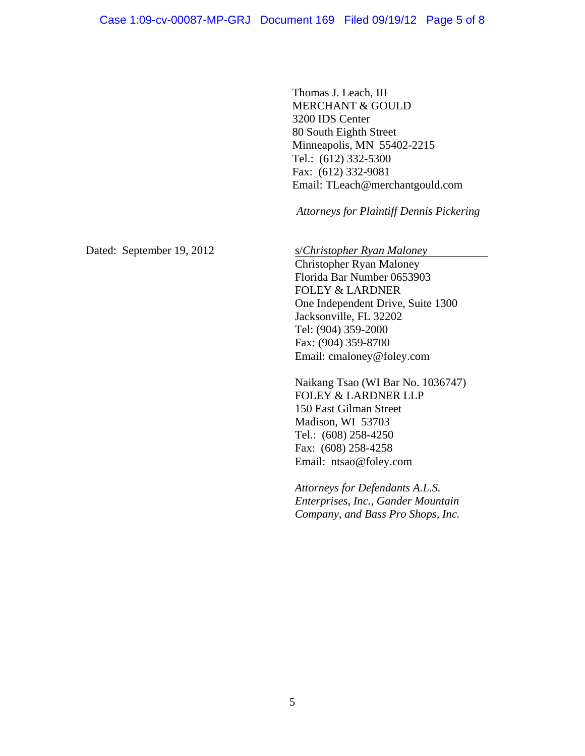Thomas J. Leach, III MERCHANT & GOULD 3200 IDS Center 80 South Eighth Street Minneapolis, MN 55402-2215 Tel.: (612) 332-5300 Fax: (612) 332-9081 Email: TLeach@merchantgould.com

 *Attorneys for Plaintiff Dennis Pickering* 

Dated: September 19, 2012 s/*Christopher Ryan Maloney* 

Christopher Ryan Maloney Florida Bar Number 0653903 FOLEY & LARDNER One Independent Drive, Suite 1300 Jacksonville, FL 32202 Tel: (904) 359-2000 Fax: (904) 359-8700 Email: cmaloney@foley.com

Naikang Tsao (WI Bar No. 1036747) FOLEY & LARDNER LLP 150 East Gilman Street Madison, WI 53703 Tel.: (608) 258-4250 Fax: (608) 258-4258 Email: ntsao@foley.com

*Attorneys for Defendants A.L.S. Enterprises, Inc., Gander Mountain Company, and Bass Pro Shops, Inc.*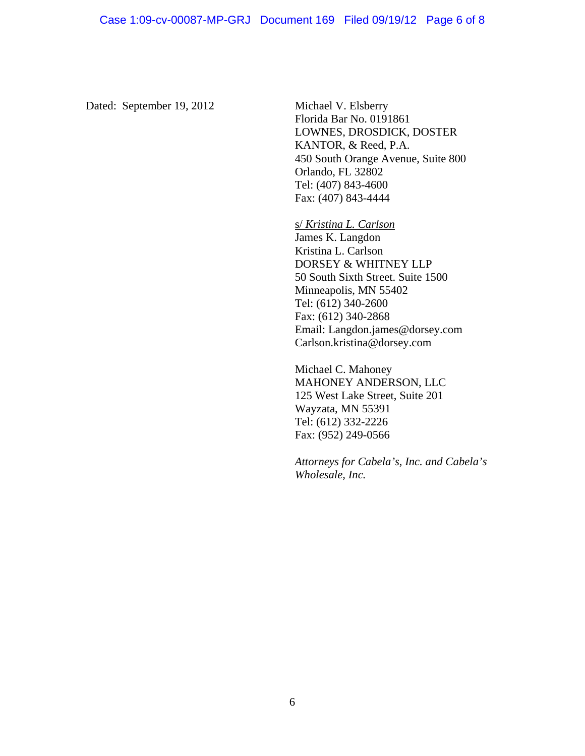Dated: September 19, 2012 Michael V. Elsberry

Florida Bar No. 0191861 LOWNES, DROSDICK, DOSTER KANTOR, & Reed, P.A. 450 South Orange Avenue, Suite 800 Orlando, FL 32802 Tel: (407) 843-4600 Fax: (407) 843-4444

s/ *Kristina L. Carlson* James K. Langdon Kristina L. Carlson DORSEY & WHITNEY LLP 50 South Sixth Street. Suite 1500 Minneapolis, MN 55402 Tel: (612) 340-2600 Fax: (612) 340-2868 Email: Langdon.james@dorsey.com Carlson.kristina@dorsey.com

Michael C. Mahoney MAHONEY ANDERSON, LLC 125 West Lake Street, Suite 201 Wayzata, MN 55391 Tel: (612) 332-2226 Fax: (952) 249-0566

*Attorneys for Cabela's, Inc. and Cabela's Wholesale, Inc.*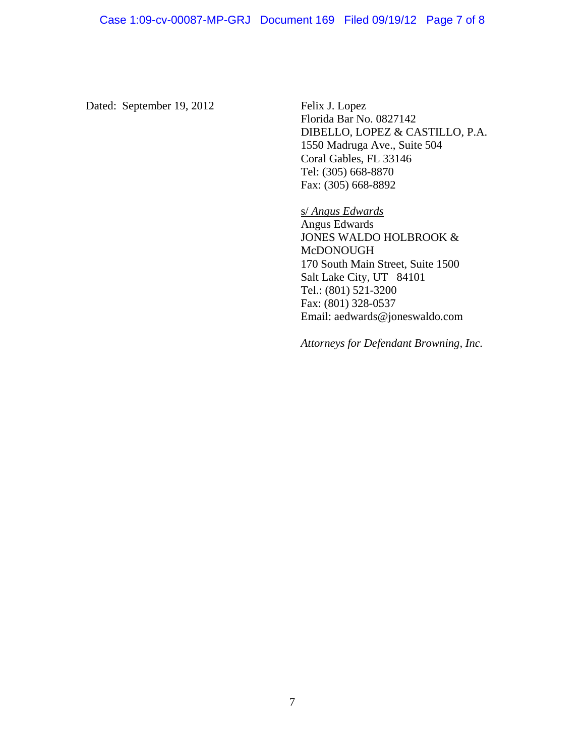Dated: September 19, 2012 Felix J. Lopez

 Florida Bar No. 0827142 DIBELLO, LOPEZ & CASTILLO, P.A. 1550 Madruga Ave., Suite 504 Coral Gables, FL 33146 Tel: (305) 668-8870 Fax: (305) 668-8892

 s/ *Angus Edwards* Angus Edwards JONES WALDO HOLBROOK & McDONOUGH 170 South Main Street, Suite 1500 Salt Lake City, UT 84101 Tel.: (801) 521-3200 Fax: (801) 328-0537 Email: aedwards@joneswaldo.com

 *Attorneys for Defendant Browning, Inc.*